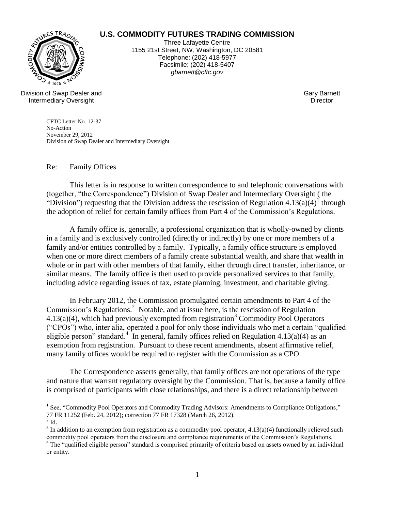

## **U.S. COMMODITY FUTURES TRADING COMMISSION**

Three Lafayette Centre 1155 21st Street, NW, Washington, DC 20581 Telephone: (202) 418-5977 Facsimile: (202) 418-5407 *gbarnett@cftc.gov*

Division of Swap Dealer and Intermediary Oversight

Gary Barnett **Director** 

CFTC Letter No. 12-37 No-Action November 29, 2012 Division of Swap Dealer and Intermediary Oversight

Re: Family Offices

This letter is in response to written correspondence to and telephonic conversations with (together, "the Correspondence") Division of Swap Dealer and Intermediary Oversight ( the "Division") requesting that the Division address the rescission of Regulation  $4.13(a)(4)^{1}$  through the adoption of relief for certain family offices from Part 4 of the Commission's Regulations.

A family office is, generally, a professional organization that is wholly-owned by clients in a family and is exclusively controlled (directly or indirectly) by one or more members of a family and/or entities controlled by a family. Typically, a family office structure is employed when one or more direct members of a family create substantial wealth, and share that wealth in whole or in part with other members of that family, either through direct transfer, inheritance, or similar means. The family office is then used to provide personalized services to that family, including advice regarding issues of tax, estate planning, investment, and charitable giving.

In February 2012, the Commission promulgated certain amendments to Part 4 of the Commission's Regulations.<sup>2</sup> Notable, and at issue here, is the rescission of Regulation  $4.13(a)(4)$ , which had previously exempted from registration<sup>3</sup> Commodity Pool Operators ("CPOs") who, inter alia, operated a pool for only those individuals who met a certain "qualified eligible person" standard.<sup>4</sup> In general, family offices relied on Regulation 4.13(a)(4) as an exemption from registration. Pursuant to these recent amendments, absent affirmative relief, many family offices would be required to register with the Commission as a CPO.

The Correspondence asserts generally, that family offices are not operations of the type and nature that warrant regulatory oversight by the Commission. That is, because a family office is comprised of participants with close relationships, and there is a direct relationship between

 $\overline{a}$ 

<sup>&</sup>lt;sup>1</sup> See, "Commodity Pool Operators and Commodity Trading Advisors: Amendments to Compliance Obligations," 77 FR 11252 (Feb. 24, 2012); correction 77 FR 17328 (March 26, 2012).

 $2$  Id.

 $3$  In addition to an exemption from registration as a commodity pool operator, 4.13(a)(4) functionally relieved such commodity pool operators from the disclosure and compliance requirements of the Commission's Regulations.

<sup>&</sup>lt;sup>4</sup> The "qualified eligible person" standard is comprised primarily of criteria based on assets owned by an individual or entity.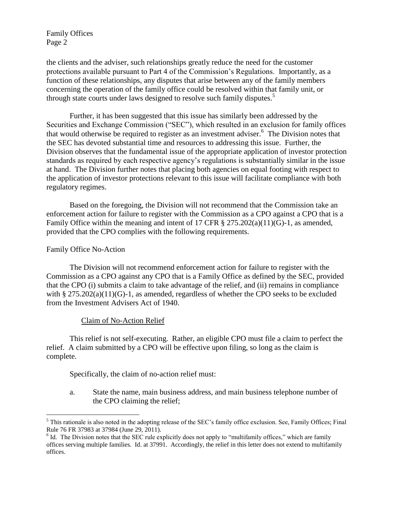Family Offices Page 2

the clients and the adviser, such relationships greatly reduce the need for the customer protections available pursuant to Part 4 of the Commission's Regulations. Importantly, as a function of these relationships, any disputes that arise between any of the family members concerning the operation of the family office could be resolved within that family unit, or through state courts under laws designed to resolve such family disputes.<sup>5</sup>

Further, it has been suggested that this issue has similarly been addressed by the Securities and Exchange Commission ("SEC"), which resulted in an exclusion for family offices that would otherwise be required to register as an investment adviser.<sup>6</sup> The Division notes that the SEC has devoted substantial time and resources to addressing this issue. Further, the Division observes that the fundamental issue of the appropriate application of investor protection standards as required by each respective agency's regulations is substantially similar in the issue at hand. The Division further notes that placing both agencies on equal footing with respect to the application of investor protections relevant to this issue will facilitate compliance with both regulatory regimes.

Based on the foregoing, the Division will not recommend that the Commission take an enforcement action for failure to register with the Commission as a CPO against a CPO that is a Family Office within the meaning and intent of 17 CFR  $\S 275.202(a)(11)(G)-1$ , as amended, provided that the CPO complies with the following requirements.

## Family Office No-Action

 $\overline{a}$ 

The Division will not recommend enforcement action for failure to register with the Commission as a CPO against any CPO that is a Family Office as defined by the SEC, provided that the CPO (i) submits a claim to take advantage of the relief, and (ii) remains in compliance with §  $275.202(a)(11)(G)-1$ , as amended, regardless of whether the CPO seeks to be excluded from the Investment Advisers Act of 1940.

## Claim of No-Action Relief

This relief is not self-executing. Rather, an eligible CPO must file a claim to perfect the relief. A claim submitted by a CPO will be effective upon filing, so long as the claim is complete.

Specifically, the claim of no-action relief must:

a. State the name, main business address, and main business telephone number of the CPO claiming the relief;

<sup>&</sup>lt;sup>5</sup> This rationale is also noted in the adopting release of the SEC's family office exclusion. See, Family Offices; Final Rule 76 FR 37983 at 37984 (June 29, 2011).

<sup>&</sup>lt;sup>6</sup> Id. The Division notes that the SEC rule explicitly does not apply to "multifamily offices," which are family offices serving multiple families. Id. at 37991. Accordingly, the relief in this letter does not extend to multifamily offices.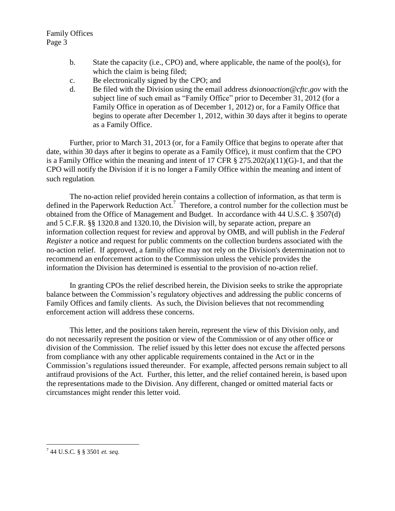Family Offices Page 3

- b. State the capacity (i.e., CPO) and, where applicable, the name of the pool(s), for which the claim is being filed;
- c. Be electronically signed by the CPO; and
- d. Be filed with the Division using the email address *dsionoaction@cftc.gov* with the subject line of such email as "Family Office" prior to December 31, 2012 (for a Family Office in operation as of December 1, 2012) or, for a Family Office that begins to operate after December 1, 2012, within 30 days after it begins to operate as a Family Office.

Further, prior to March 31, 2013 (or, for a Family Office that begins to operate after that date, within 30 days after it begins to operate as a Family Office), it must confirm that the CPO is a Family Office within the meaning and intent of 17 CFR § 275.202(a)(11)(G)-1, and that the CPO will notify the Division if it is no longer a Family Office within the meaning and intent of such regulation.

The no-action relief provided herein contains a collection of information, as that term is defined in the Paperwork Reduction Act.<sup>7</sup> Therefore, a control number for the collection must be obtained from the Office of Management and Budget. In accordance with 44 U.S.C. § 3507(d) and 5 C.F.R. §§ 1320.8 and 1320.10, the Division will, by separate action, prepare an information collection request for review and approval by OMB, and will publish in the *Federal Register* a notice and request for public comments on the collection burdens associated with the no-action relief. If approved, a family office may not rely on the Division's determination not to recommend an enforcement action to the Commission unless the vehicle provides the information the Division has determined is essential to the provision of no-action relief.

In granting CPOs the relief described herein, the Division seeks to strike the appropriate balance between the Commission's regulatory objectives and addressing the public concerns of Family Offices and family clients. As such, the Division believes that not recommending enforcement action will address these concerns.

This letter, and the positions taken herein, represent the view of this Division only, and do not necessarily represent the position or view of the Commission or of any other office or division of the Commission. The relief issued by this letter does not excuse the affected persons from compliance with any other applicable requirements contained in the Act or in the Commission's regulations issued thereunder. For example, affected persons remain subject to all antifraud provisions of the Act. Further, this letter, and the relief contained herein, is based upon the representations made to the Division. Any different, changed or omitted material facts or circumstances might render this letter void.

 $\overline{a}$ 

<sup>7</sup> 44 U.S.C. § § 3501 *et. seq.*